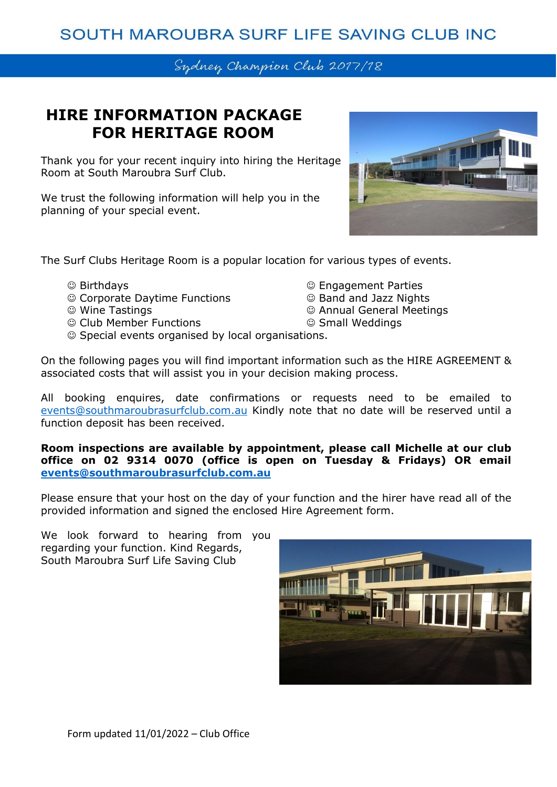## SOUTH MAROUBRA SURF LIFE SAVING CLUB INC

### Sydney Champion Club 2017/18

## **HIRE INFORMATION PACKAGE FOR HERITAGE ROOM**

Thank you for your recent inquiry into hiring the Heritage Room at South Maroubra Surf Club.

We trust the following information will help you in the planning of your special event.



The Surf Clubs Heritage Room is a popular location for various types of events.

- ☺ Birthdays ☺ Engagement Parties
- ☺ Corporate Daytime Functions ☺ Band and Jazz Nights
- 
- ☺ Club Member Functions ☺ Small Weddings
- ☺ Wine Tastings ☺ Annual General Meetings
	-
- ☺ Special events organised by local organisations.

On the following pages you will find important information such as the HIRE AGREEMENT & associated costs that will assist you in your decision making process.

All booking enquires, date confirmations or requests need to be emailed to [events@southmaroubrasurfclub.com.au](mailto:events@southmaroubrasurfclub.com.au) Kindly note that no date will be reserved until a function deposit has been received.

**Room inspections are available by appointment, please call Michelle at our club office on 02 9314 0070 (office is open on Tuesday & Fridays) OR email [events@southmaroubrasurfclub.com.au](mailto:events@southmaroubrasurfclub.com.au)**

Please ensure that your host on the day of your function and the hirer have read all of the provided information and signed the enclosed Hire Agreement form.

We look forward to hearing from you regarding your function. Kind Regards, South Maroubra Surf Life Saving Club

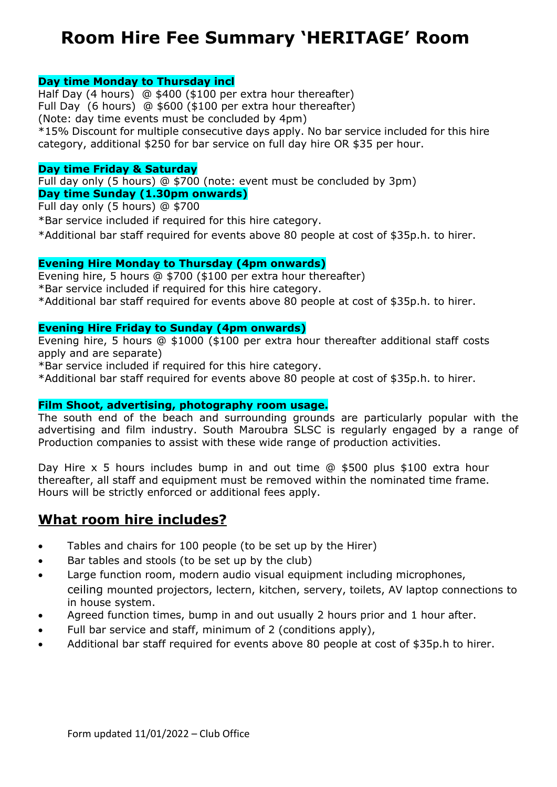# **Room Hire Fee Summary 'HERITAGE' Room**

#### **Day time Monday to Thursday incl**

Half Day (4 hours) @ \$400 (\$100 per extra hour thereafter) Full Day (6 hours) @ \$600 (\$100 per extra hour thereafter) (Note: day time events must be concluded by 4pm) \*15% Discount for multiple consecutive days apply. No bar service included for this hire category, additional \$250 for bar service on full day hire OR \$35 per hour.

#### **Day time Friday & Saturday**

Full day only (5 hours) @ \$700 (note: event must be concluded by 3pm) **Day time Sunday (1.30pm onwards)** 

Full day only (5 hours) @ \$700

\*Bar service included if required for this hire category.

\*Additional bar staff required for events above 80 people at cost of \$35p.h. to hirer.

#### **Evening Hire Monday to Thursday (4pm onwards)**

Evening hire, 5 hours @ \$700 (\$100 per extra hour thereafter) \*Bar service included if required for this hire category. \*Additional bar staff required for events above 80 people at cost of \$35p.h. to hirer.

#### **Evening Hire Friday to Sunday (4pm onwards)**

Evening hire, 5 hours @ \$1000 (\$100 per extra hour thereafter additional staff costs apply and are separate)

\*Bar service included if required for this hire category.

\*Additional bar staff required for events above 80 people at cost of \$35p.h. to hirer.

#### **Film Shoot, advertising, photography room usage.**

The south end of the beach and surrounding grounds are particularly popular with the advertising and film industry. South Maroubra SLSC is regularly engaged by a range of Production companies to assist with these wide range of production activities.

Day Hire x 5 hours includes bump in and out time @ \$500 plus \$100 extra hour thereafter, all staff and equipment must be removed within the nominated time frame. Hours will be strictly enforced or additional fees apply.

### **What room hire includes?**

- Tables and chairs for 100 people (to be set up by the Hirer)
- Bar tables and stools (to be set up by the club)
- Large function room, modern audio visual equipment including microphones, ceiling mounted projectors, lectern, kitchen, servery, toilets, AV laptop connections to in house system.
- Agreed function times, bump in and out usually 2 hours prior and 1 hour after.
- Full bar service and staff, minimum of 2 (conditions apply),
- Additional bar staff required for events above 80 people at cost of \$35p.h to hirer.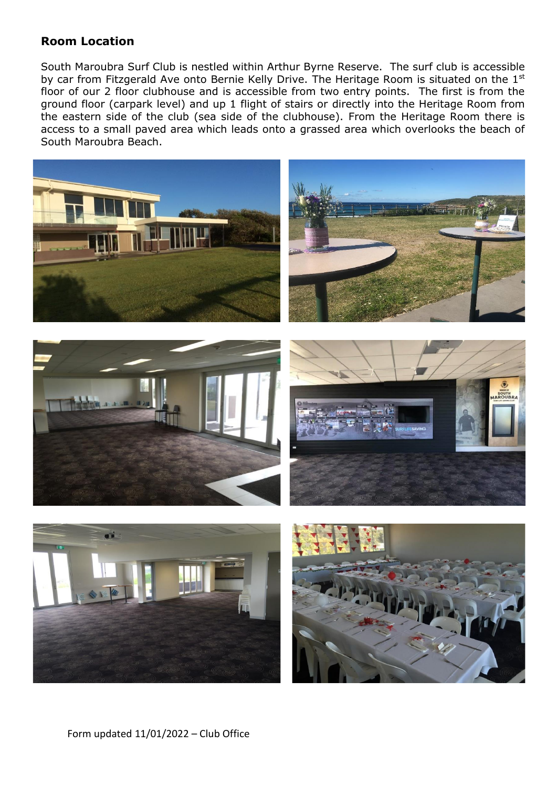### **Room Location**

South Maroubra Surf Club is nestled within Arthur Byrne Reserve. The surf club is accessible by car from Fitzgerald Ave onto Bernie Kelly Drive. The Heritage Room is situated on the 1<sup>st</sup> floor of our 2 floor clubhouse and is accessible from two entry points. The first is from the ground floor (carpark level) and up 1 flight of stairs or directly into the Heritage Room from the eastern side of the club (sea side of the clubhouse). From the Heritage Room there is access to a small paved area which leads onto a grassed area which overlooks the beach of South Maroubra Beach.

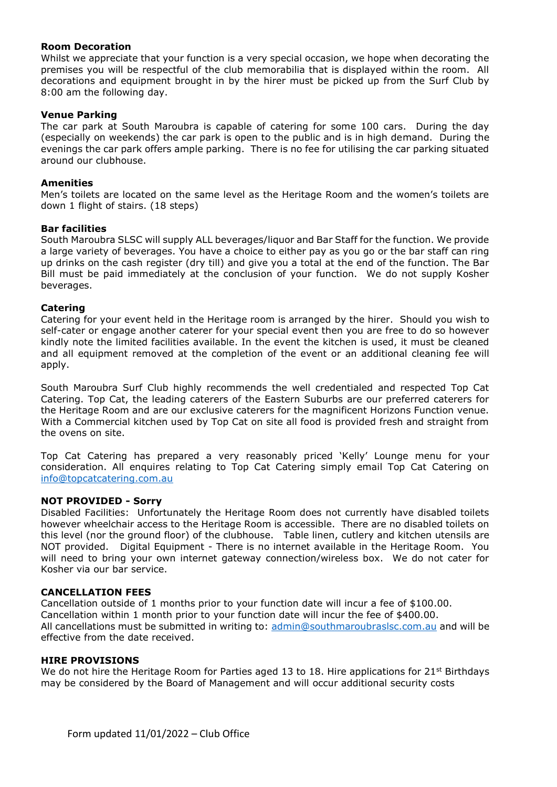#### **Room Decoration**

Whilst we appreciate that your function is a very special occasion, we hope when decorating the premises you will be respectful of the club memorabilia that is displayed within the room. All decorations and equipment brought in by the hirer must be picked up from the Surf Club by 8:00 am the following day.

#### **Venue Parking**

The car park at South Maroubra is capable of catering for some 100 cars. During the day (especially on weekends) the car park is open to the public and is in high demand. During the evenings the car park offers ample parking. There is no fee for utilising the car parking situated around our clubhouse.

#### **Amenities**

Men's toilets are located on the same level as the Heritage Room and the women's toilets are down 1 flight of stairs. (18 steps)

#### **Bar facilities**

South Maroubra SLSC will supply ALL beverages/liquor and Bar Staff for the function. We provide a large variety of beverages. You have a choice to either pay as you go or the bar staff can ring up drinks on the cash register (dry till) and give you a total at the end of the function. The Bar Bill must be paid immediately at the conclusion of your function. We do not supply Kosher beverages.

#### **Catering**

Catering for your event held in the Heritage room is arranged by the hirer. Should you wish to self-cater or engage another caterer for your special event then you are free to do so however kindly note the limited facilities available. In the event the kitchen is used, it must be cleaned and all equipment removed at the completion of the event or an additional cleaning fee will apply.

South Maroubra Surf Club highly recommends the well credentialed and respected Top Cat Catering. Top Cat, the leading caterers of the Eastern Suburbs are our preferred caterers for the Heritage Room and are our exclusive caterers for the magnificent Horizons Function venue. With a Commercial kitchen used by Top Cat on site all food is provided fresh and straight from the ovens on site.

Top Cat Catering has prepared a very reasonably priced 'Kelly' Lounge menu for your consideration. All enquires relating to Top Cat Catering simply email Top Cat Catering on [info@topcatcatering.com.au](mailto:info@topcatcatering.com.au)

#### **NOT PROVIDED - Sorry**

Disabled Facilities: Unfortunately the Heritage Room does not currently have disabled toilets however wheelchair access to the Heritage Room is accessible. There are no disabled toilets on this level (nor the ground floor) of the clubhouse. Table linen, cutlery and kitchen utensils are NOT provided. Digital Equipment - There is no internet available in the Heritage Room. You will need to bring your own internet gateway connection/wireless box. We do not cater for Kosher via our bar service.

#### **CANCELLATION FEES**

Cancellation outside of 1 months prior to your function date will incur a fee of \$100.00. Cancellation within 1 month prior to your function date will incur the fee of \$400.00. All cancellations must be submitted in writing to: [admin@southmaroubraslsc.com.au](mailto:admin@southmaroubraslsc.com.au) and will be effective from the date received.

#### **HIRE PROVISIONS**

We do not hire the Heritage Room for Parties aged 13 to 18. Hire applications for 21st Birthdays may be considered by the Board of Management and will occur additional security costs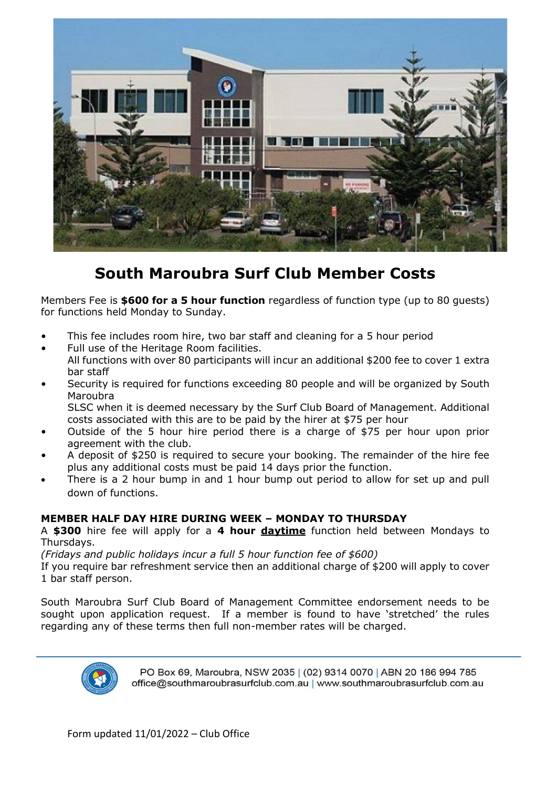

## **South Maroubra Surf Club Member Costs**

Members Fee is **\$600 for a 5 hour function** regardless of function type (up to 80 guests) for functions held Monday to Sunday.

- This fee includes room hire, two bar staff and cleaning for a 5 hour period
- Full use of the Heritage Room facilities.
- All functions with over 80 participants will incur an additional \$200 fee to cover 1 extra bar staff
- Security is required for functions exceeding 80 people and will be organized by South Maroubra SLSC when it is deemed necessary by the Surf Club Board of Management. Additional

costs associated with this are to be paid by the hirer at \$75 per hour

- Outside of the 5 hour hire period there is a charge of \$75 per hour upon prior agreement with the club.
- A deposit of \$250 is required to secure your booking. The remainder of the hire fee plus any additional costs must be paid 14 days prior the function.
- There is a 2 hour bump in and 1 hour bump out period to allow for set up and pull down of functions.

#### **MEMBER HALF DAY HIRE DURING WEEK – MONDAY TO THURSDAY**

A **\$300** hire fee will apply for a **4 hour daytime** function held between Mondays to Thursdays.

*(Fridays and public holidays incur a full 5 hour function fee of \$600)*

If you require bar refreshment service then an additional charge of \$200 will apply to cover 1 bar staff person.

South Maroubra Surf Club Board of Management Committee endorsement needs to be sought upon application request. If a member is found to have 'stretched' the rules regarding any of these terms then full non-member rates will be charged.



PO Box 69, Maroubra, NSW 2035 | (02) 9314 0070 | ABN 20 186 994 785 office@southmaroubrasurfclub.com.au | www.southmaroubrasurfclub.com.au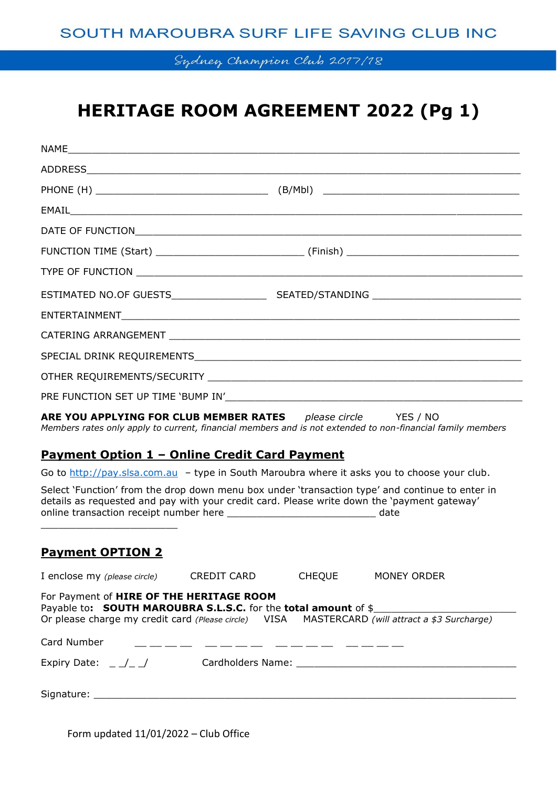### SOUTH MAROUBRA SURF LIFE SAVING CLUB INC

Sydney Champion Club 2017/18

# **HERITAGE ROOM AGREEMENT 2022 (Pg 1)**

| <b>ARE YOU APPLYING FOR CLUB MEMBER RATES</b> please circle YES / NO<br><u> Payment Option 1 – Online Credit Card Payment</u>          | Members rates only apply to current, financial members and is not extended to non-financial family members |
|----------------------------------------------------------------------------------------------------------------------------------------|------------------------------------------------------------------------------------------------------------|
|                                                                                                                                        | Go to http://pay.slsa.com.au - type in South Maroubra where it asks you to choose your club.               |
| details as requested and pay with your credit card. Please write down the 'payment gateway'                                            | Select 'Function' from the drop down menu box under 'transaction type' and continue to enter in            |
| <b>Payment OPTION 2</b>                                                                                                                |                                                                                                            |
| I enclose my (please circle)<br>CREDIT CARD                                                                                            | <b>CHEQUE</b><br>MONEY ORDER                                                                               |
| For Payment of HIRE OF THE HERITAGE ROOM<br>Payable to: SOUTH MAROUBRA S.L.S.C. for the total amount of \$                             | Or please charge my credit card (Please circle) VISA MASTERCARD (will attract a \$3 Surcharge)             |
| Card Number                                                                                                                            | --- ---- ---- ---                                                                                          |
| Cardholders Name: Name: Name and All Cardholders Name and All Card Card Control Card Card Card Card Card Card<br>Expiry Date: $\angle$ |                                                                                                            |
|                                                                                                                                        |                                                                                                            |

Form updated 11/01/2022 – Club Office